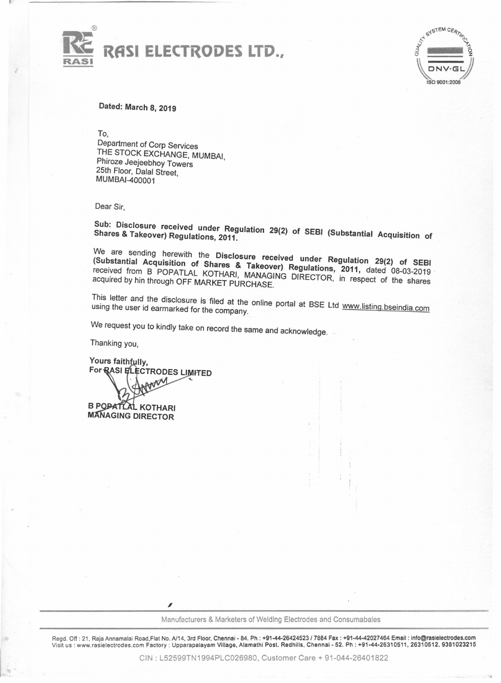



Dated: March 8, 2019

To,

Department of Corp Services THE STOCK EXCHANGE, MUMSAI, Phiroze Jeejeebhoy Towers 25th Floor, Dalal Street, MUMSAI-400001

Dear Sir,

with Disclosure received under Regulation 29(2) of SEBI (Substantial Acquisition of

We are sending herewith the Disclosure received under Regulation 29(2) of SEBI (Substantial Acquisition of Shares & Takeover) Regulations, 2011, dated 08-03-2019' received from S POPATLAL KOTHARI, MANAGING DIRECTOR, in respect of the shares acquired by hin through OFF MARKET PURCHASE.

This letter and the disclosure is filed at the online portal at BSE Ltd www.listing.bseindia.com

We request you to kindly take on record the same and acknowledge.

Thanking you,

Yours faithfully, For RASI ELECTRODES LIMITED **B POPATLAL KOTHARI MANAGING DIRECTOR** 

,

Manufacturers& Marketers of Welding Electrodes and Consumabales

Regd. Off: 21, Raja Annamalai Road,Flat No. A/14, 3rd Floor, Chennai - 84. Ph: +91-44-26424523 / 7884 Fax: +91-44-42027464 Email: info@rasielectrodes.com Visitus: www.rasielectrodes.com Factory: Upparapalayam Village, Alamathi Post. Redhills, Chennai - 52. Ph: +91-44-26310511, 26310512, 9381023215

CIN : L52599TN1994PLC026980, Customer Care +